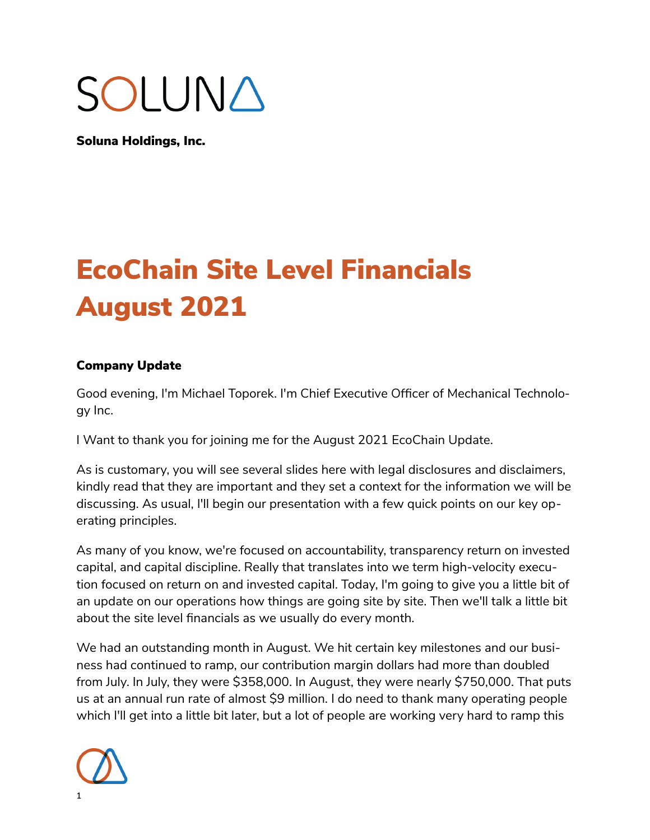# SOLUNA

Soluna Holdings, Inc.

## EcoChain Site Level Financials August 2021

### Company Update

Good evening, I'm Michael Toporek. I'm Chief Executive Officer of Mechanical Technology Inc.

I Want to thank you for joining me for the August 2021 EcoChain Update.

As is customary, you will see several slides here with legal disclosures and disclaimers, kindly read that they are important and they set a context for the information we will be discussing. As usual, I'll begin our presentation with a few quick points on our key operating principles.

As many of you know, we're focused on accountability, transparency return on invested capital, and capital discipline. Really that translates into we term high-velocity execution focused on return on and invested capital. Today, I'm going to give you a little bit of an update on our operations how things are going site by site. Then we'll talk a little bit about the site level financials as we usually do every month.

We had an outstanding month in August. We hit certain key milestones and our business had continued to ramp, our contribution margin dollars had more than doubled from July. In July, they were \$358,000. In August, they were nearly \$750,000. That puts us at an annual run rate of almost \$9 million. I do need to thank many operating people which I'll get into a little bit later, but a lot of people are working very hard to ramp this

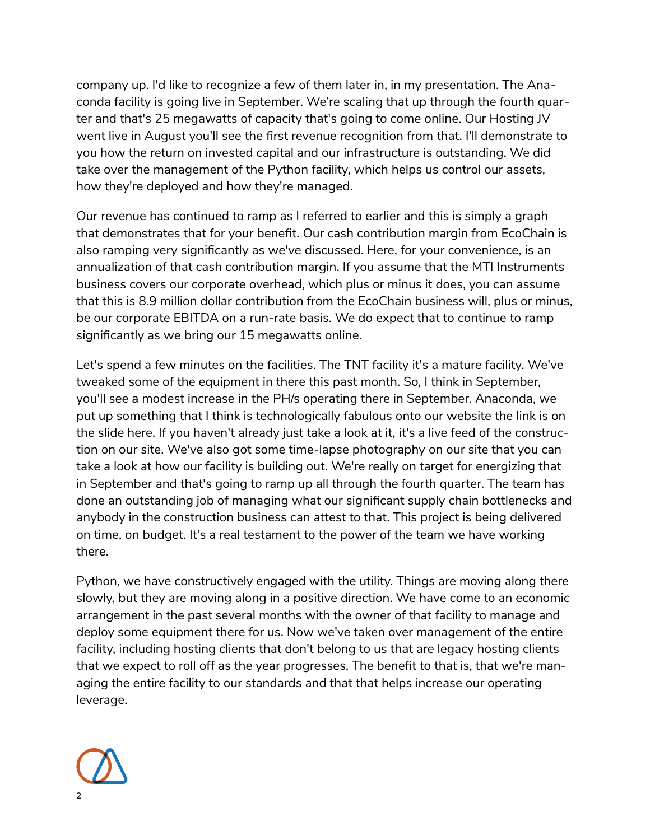company up. I'd like to recognize a few of them later in, in my presentation. The Anaconda facility is going live in September. We're scaling that up through the fourth quarter and that's 25 megawatts of capacity that's going to come online. Our Hosting JV went live in August you'll see the first revenue recognition from that. I'll demonstrate to you how the return on invested capital and our infrastructure is outstanding. We did take over the management of the Python facility, which helps us control our assets, how they're deployed and how they're managed.

Our revenue has continued to ramp as I referred to earlier and this is simply a graph that demonstrates that for your benefit. Our cash contribution margin from EcoChain is also ramping very significantly as we've discussed. Here, for your convenience, is an annualization of that cash contribution margin. If you assume that the MTI Instruments business covers our corporate overhead, which plus or minus it does, you can assume that this is 8.9 million dollar contribution from the EcoChain business will, plus or minus, be our corporate EBITDA on a run-rate basis. We do expect that to continue to ramp significantly as we bring our 15 megawatts online.

Let's spend a few minutes on the facilities. The TNT facility it's a mature facility. We've tweaked some of the equipment in there this past month. So, I think in September, you'll see a modest increase in the PH/s operating there in September. Anaconda, we put up something that I think is technologically fabulous onto our website the link is on the slide here. If you haven't already just take a look at it, it's a live feed of the construction on our site. We've also got some time-lapse photography on our site that you can take a look at how our facility is building out. We're really on target for energizing that in September and that's going to ramp up all through the fourth quarter. The team has done an outstanding job of managing what our significant supply chain bottlenecks and anybody in the construction business can attest to that. This project is being delivered on time, on budget. It's a real testament to the power of the team we have working there.

Python, we have constructively engaged with the utility. Things are moving along there slowly, but they are moving along in a positive direction. We have come to an economic arrangement in the past several months with the owner of that facility to manage and deploy some equipment there for us. Now we've taken over management of the entire facility, including hosting clients that don't belong to us that are legacy hosting clients that we expect to roll off as the year progresses. The benefit to that is, that we're managing the entire facility to our standards and that that helps increase our operating leverage.

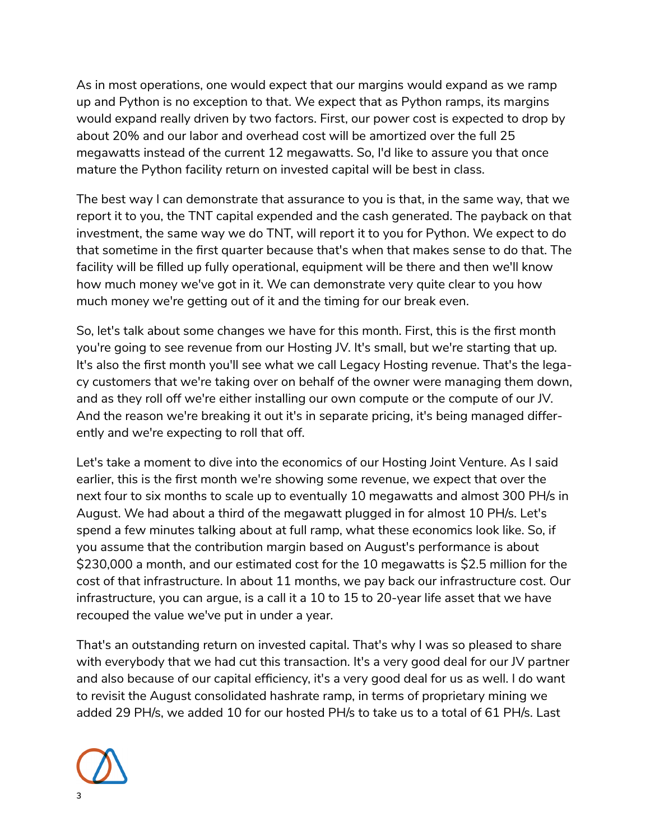As in most operations, one would expect that our margins would expand as we ramp up and Python is no exception to that. We expect that as Python ramps, its margins would expand really driven by two factors. First, our power cost is expected to drop by about 20% and our labor and overhead cost will be amortized over the full 25 megawatts instead of the current 12 megawatts. So, I'd like to assure you that once mature the Python facility return on invested capital will be best in class.

The best way I can demonstrate that assurance to you is that, in the same way, that we report it to you, the TNT capital expended and the cash generated. The payback on that investment, the same way we do TNT, will report it to you for Python. We expect to do that sometime in the first quarter because that's when that makes sense to do that. The facility will be filled up fully operational, equipment will be there and then we'll know how much money we've got in it. We can demonstrate very quite clear to you how much money we're getting out of it and the timing for our break even.

So, let's talk about some changes we have for this month. First, this is the first month you're going to see revenue from our Hosting JV. It's small, but we're starting that up. It's also the first month you'll see what we call Legacy Hosting revenue. That's the legacy customers that we're taking over on behalf of the owner were managing them down, and as they roll off we're either installing our own compute or the compute of our JV. And the reason we're breaking it out it's in separate pricing, it's being managed differently and we're expecting to roll that off.

Let's take a moment to dive into the economics of our Hosting Joint Venture. As I said earlier, this is the first month we're showing some revenue, we expect that over the next four to six months to scale up to eventually 10 megawatts and almost 300 PH/s in August. We had about a third of the megawatt plugged in for almost 10 PH/s. Let's spend a few minutes talking about at full ramp, what these economics look like. So, if you assume that the contribution margin based on August's performance is about \$230,000 a month, and our estimated cost for the 10 megawatts is \$2.5 million for the cost of that infrastructure. In about 11 months, we pay back our infrastructure cost. Our infrastructure, you can argue, is a call it a 10 to 15 to 20-year life asset that we have recouped the value we've put in under a year.

That's an outstanding return on invested capital. That's why I was so pleased to share with everybody that we had cut this transaction. It's a very good deal for our JV partner and also because of our capital efficiency, it's a very good deal for us as well. I do want to revisit the August consolidated hashrate ramp, in terms of proprietary mining we added 29 PH/s, we added 10 for our hosted PH/s to take us to a total of 61 PH/s. Last

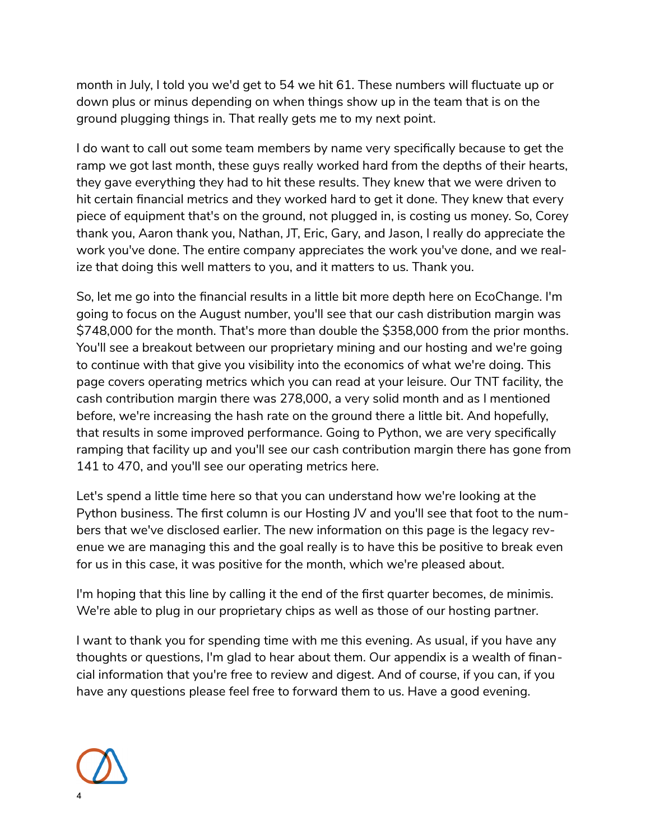month in July, I told you we'd get to 54 we hit 61. These numbers will fluctuate up or down plus or minus depending on when things show up in the team that is on the ground plugging things in. That really gets me to my next point.

I do want to call out some team members by name very specifically because to get the ramp we got last month, these guys really worked hard from the depths of their hearts, they gave everything they had to hit these results. They knew that we were driven to hit certain financial metrics and they worked hard to get it done. They knew that every piece of equipment that's on the ground, not plugged in, is costing us money. So, Corey thank you, Aaron thank you, Nathan, JT, Eric, Gary, and Jason, I really do appreciate the work you've done. The entire company appreciates the work you've done, and we realize that doing this well matters to you, and it matters to us. Thank you.

So, let me go into the financial results in a little bit more depth here on EcoChange. I'm going to focus on the August number, you'll see that our cash distribution margin was \$748,000 for the month. That's more than double the \$358,000 from the prior months. You'll see a breakout between our proprietary mining and our hosting and we're going to continue with that give you visibility into the economics of what we're doing. This page covers operating metrics which you can read at your leisure. Our TNT facility, the cash contribution margin there was 278,000, a very solid month and as I mentioned before, we're increasing the hash rate on the ground there a little bit. And hopefully, that results in some improved performance. Going to Python, we are very specifically ramping that facility up and you'll see our cash contribution margin there has gone from 141 to 470, and you'll see our operating metrics here.

Let's spend a little time here so that you can understand how we're looking at the Python business. The first column is our Hosting JV and you'll see that foot to the numbers that we've disclosed earlier. The new information on this page is the legacy revenue we are managing this and the goal really is to have this be positive to break even for us in this case, it was positive for the month, which we're pleased about.

I'm hoping that this line by calling it the end of the first quarter becomes, de minimis. We're able to plug in our proprietary chips as well as those of our hosting partner.

I want to thank you for spending time with me this evening. As usual, if you have any thoughts or questions, I'm glad to hear about them. Our appendix is a wealth of financial information that you're free to review and digest. And of course, if you can, if you have any questions please feel free to forward them to us. Have a good evening.

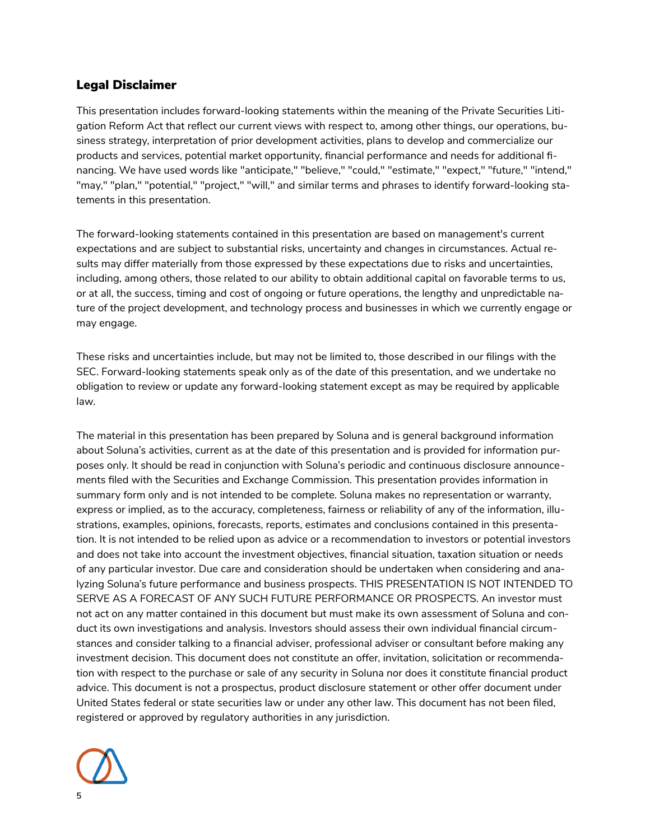#### Legal Disclaimer

This presentation includes forward-looking statements within the meaning of the Private Securities Litigation Reform Act that reflect our current views with respect to, among other things, our operations, business strategy, interpretation of prior development activities, plans to develop and commercialize our products and services, potential market opportunity, financial performance and needs for additional fnancing. We have used words like "anticipate," "believe," "could," "estimate," "expect," "future," "intend," "may," "plan," "potential," "project," "will," and similar terms and phrases to identify forward-looking statements in this presentation.

The forward-looking statements contained in this presentation are based on management's current expectations and are subject to substantial risks, uncertainty and changes in circumstances. Actual results may differ materially from those expressed by these expectations due to risks and uncertainties, including, among others, those related to our ability to obtain additional capital on favorable terms to us, or at all, the success, timing and cost of ongoing or future operations, the lengthy and unpredictable nature of the project development, and technology process and businesses in which we currently engage or may engage.

These risks and uncertainties include, but may not be limited to, those described in our filings with the SEC. Forward-looking statements speak only as of the date of this presentation, and we undertake no obligation to review or update any forward-looking statement except as may be required by applicable law.

The material in this presentation has been prepared by Soluna and is general background information about Soluna's activities, current as at the date of this presentation and is provided for information purposes only. It should be read in conjunction with Soluna's periodic and continuous disclosure announcements filed with the Securities and Exchange Commission. This presentation provides information in summary form only and is not intended to be complete. Soluna makes no representation or warranty, express or implied, as to the accuracy, completeness, fairness or reliability of any of the information, illustrations, examples, opinions, forecasts, reports, estimates and conclusions contained in this presentation. It is not intended to be relied upon as advice or a recommendation to investors or potential investors and does not take into account the investment objectives, financial situation, taxation situation or needs of any particular investor. Due care and consideration should be undertaken when considering and analyzing Soluna's future performance and business prospects. THIS PRESENTATION IS NOT INTENDED TO SERVE AS A FORECAST OF ANY SUCH FUTURE PERFORMANCE OR PROSPECTS. An investor must not act on any matter contained in this document but must make its own assessment of Soluna and conduct its own investigations and analysis. Investors should assess their own individual financial circumstances and consider talking to a financial adviser, professional adviser or consultant before making any investment decision. This document does not constitute an offer, invitation, solicitation or recommendation with respect to the purchase or sale of any security in Soluna nor does it constitute financial product advice. This document is not a prospectus, product disclosure statement or other offer document under United States federal or state securities law or under any other law. This document has not been filed, registered or approved by regulatory authorities in any jurisdiction.